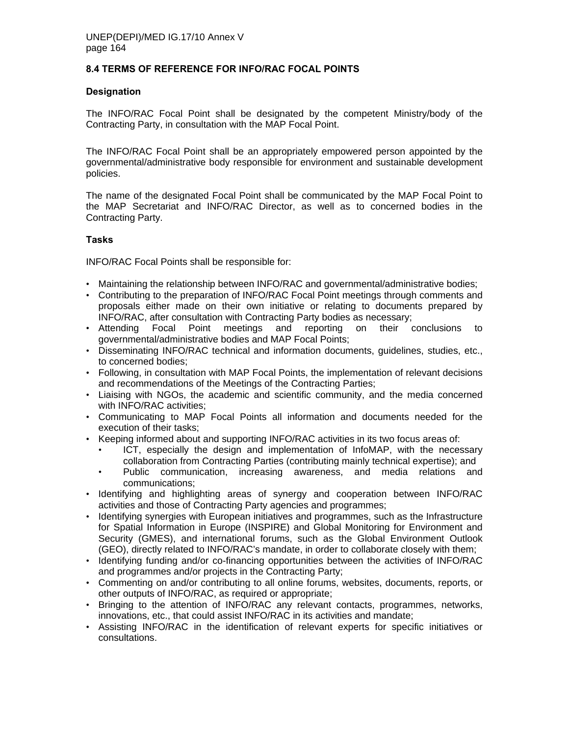### **8.4 TERMS OF REFERENCE FOR INFO/RAC FOCAL POINTS**

#### **Designation**

The INFO/RAC Focal Point shall be designated by the competent Ministry/body of the Contracting Party, in consultation with the MAP Focal Point.

The INFO/RAC Focal Point shall be an appropriately empowered person appointed by the governmental/administrative body responsible for environment and sustainable development policies.

The name of the designated Focal Point shall be communicated by the MAP Focal Point to the MAP Secretariat and INFO/RAC Director, as well as to concerned bodies in the Contracting Party.

#### **Tasks**

INFO/RAC Focal Points shall be responsible for:

- Maintaining the relationship between INFO/RAC and governmental/administrative bodies;
- Contributing to the preparation of INFO/RAC Focal Point meetings through comments and proposals either made on their own initiative or relating to documents prepared by INFO/RAC, after consultation with Contracting Party bodies as necessary;
- Attending Focal Point meetings and reporting on their conclusions to governmental/administrative bodies and MAP Focal Points;
- Disseminating INFO/RAC technical and information documents, guidelines, studies, etc., to concerned bodies;
- Following, in consultation with MAP Focal Points, the implementation of relevant decisions and recommendations of the Meetings of the Contracting Parties;
- Liaising with NGOs, the academic and scientific community, and the media concerned with INFO/RAC activities;
- Communicating to MAP Focal Points all information and documents needed for the execution of their tasks;
- Keeping informed about and supporting INFO/RAC activities in its two focus areas of:
	- ICT, especially the design and implementation of InfoMAP, with the necessary collaboration from Contracting Parties (contributing mainly technical expertise); and
	- Public communication, increasing awareness, and media relations and communications;
- Identifying and highlighting areas of synergy and cooperation between INFO/RAC activities and those of Contracting Party agencies and programmes;
- Identifying synergies with European initiatives and programmes, such as the Infrastructure for Spatial Information in Europe (INSPIRE) and Global Monitoring for Environment and Security (GMES), and international forums, such as the Global Environment Outlook (GEO), directly related to INFO/RAC's mandate, in order to collaborate closely with them;
- Identifying funding and/or co-financing opportunities between the activities of INFO/RAC and programmes and/or projects in the Contracting Party;
- Commenting on and/or contributing to all online forums, websites, documents, reports, or other outputs of INFO/RAC, as required or appropriate;
- Bringing to the attention of INFO/RAC any relevant contacts, programmes, networks, innovations, etc., that could assist INFO/RAC in its activities and mandate;
- Assisting INFO/RAC in the identification of relevant experts for specific initiatives or consultations.